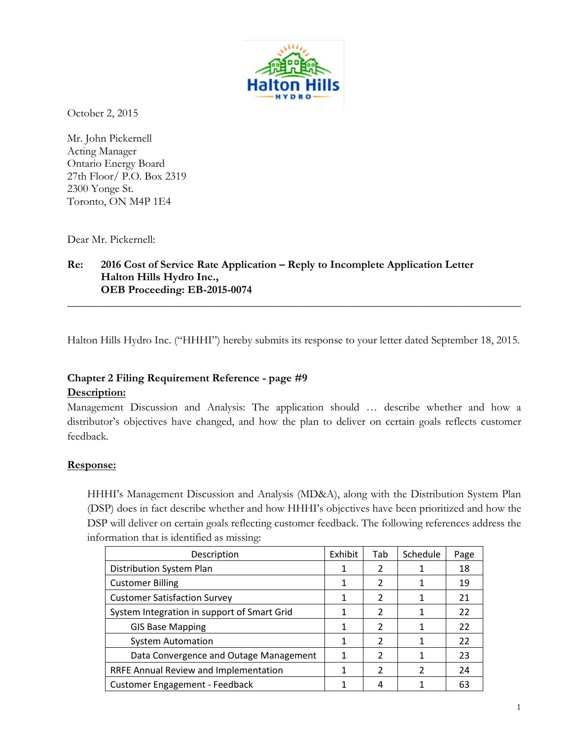

October 2, 2015

Mr. John Pickernell Acting Manager Ontario Energy Board 27th Floor/ P.O. Box 2319 2300 Yonge St. Toronto, ON M4P 1E4

Dear Mr. Pickernell:

## **Re: 2016 Cost of Service Rate Application – Reply to Incomplete Application Letter Halton Hills Hydro Inc., OEB Proceeding: EB-2015-0074**

Halton Hills Hydro Inc. ("HHHI") hereby submits its response to your letter dated September 18, 2015.

**\_\_\_\_\_\_\_\_\_\_\_\_\_\_\_\_\_\_\_\_\_\_\_\_\_\_\_\_\_\_\_\_\_\_\_\_\_\_\_\_\_\_\_\_\_\_\_\_\_\_\_\_\_\_\_\_\_\_\_\_\_\_\_\_\_\_\_\_\_\_\_\_\_\_\_\_\_\_\_\_\_**

# **Chapter 2 Filing Requirement Reference - page #9 Description:**

Management Discussion and Analysis: The application should … describe whether and how a distributor's objectives have changed, and how the plan to deliver on certain goals reflects customer feedback.

## **Response:**

HHHI's Management Discussion and Analysis (MD&A), along with the Distribution System Plan (DSP) does in fact describe whether and how HHHI's objectives have been prioritized and how the DSP will deliver on certain goals reflecting customer feedback. The following references address the information that is identified as missing:

| Description                                 | Exhibit | Tab            | Schedule | Page |
|---------------------------------------------|---------|----------------|----------|------|
| Distribution System Plan                    |         | 2              |          | 18   |
| <b>Customer Billing</b>                     |         | 2              |          | 19   |
| <b>Customer Satisfaction Survey</b>         |         | 2              |          | 21   |
| System Integration in support of Smart Grid |         | 2              |          | 22   |
| <b>GIS Base Mapping</b>                     |         | 2              |          | 22   |
| <b>System Automation</b>                    |         | $\overline{2}$ |          | 22   |
| Data Convergence and Outage Management      |         | $\mathcal{P}$  | 1        | 23   |
| RRFE Annual Review and Implementation       |         | 2              | 2        | 24   |
| <b>Customer Engagement - Feedback</b>       |         | 4              |          | 63   |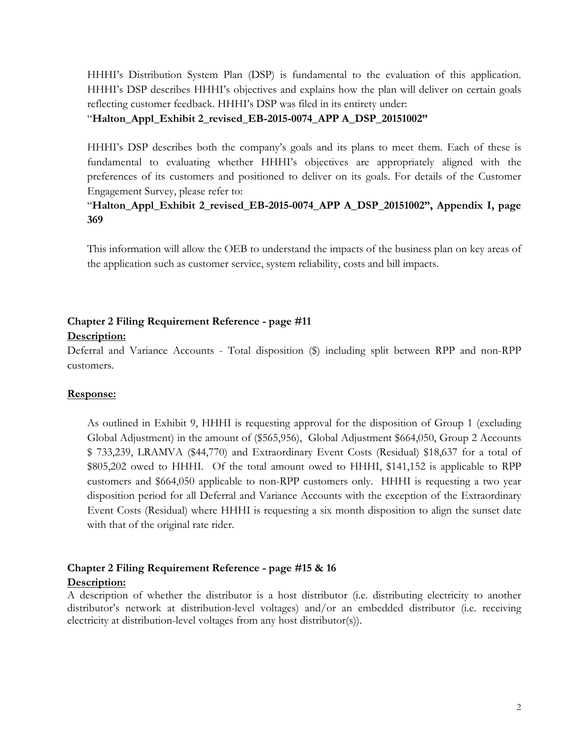HHHI's Distribution System Plan (DSP) is fundamental to the evaluation of this application. HHHI's DSP describes HHHI's objectives and explains how the plan will deliver on certain goals reflecting customer feedback. HHHI's DSP was filed in its entirety under:

#### "**Halton\_Appl\_Exhibit 2\_revised\_EB-2015-0074\_APP A\_DSP\_20151002"**

HHHI's DSP describes both the company's goals and its plans to meet them. Each of these is fundamental to evaluating whether HHHI's objectives are appropriately aligned with the preferences of its customers and positioned to deliver on its goals. For details of the Customer Engagement Survey, please refer to:

# "**Halton\_Appl\_Exhibit 2\_revised\_EB-2015-0074\_APP A\_DSP\_20151002", Appendix I, page 369**

This information will allow the OEB to understand the impacts of the business plan on key areas of the application such as customer service, system reliability, costs and bill impacts.

# **Chapter 2 Filing Requirement Reference - page #11 Description:**

Deferral and Variance Accounts - Total disposition (\$) including split between RPP and non-RPP customers.

## **Response:**

As outlined in Exhibit 9, HHHI is requesting approval for the disposition of Group 1 (excluding Global Adjustment) in the amount of (\$565,956), Global Adjustment \$664,050, Group 2 Accounts \$ 733,239, LRAMVA (\$44,770) and Extraordinary Event Costs (Residual) \$18,637 for a total of \$805,202 owed to HHHI. Of the total amount owed to HHHI, \$141,152 is applicable to RPP customers and \$664,050 applicable to non-RPP customers only. HHHI is requesting a two year disposition period for all Deferral and Variance Accounts with the exception of the Extraordinary Event Costs (Residual) where HHHI is requesting a six month disposition to align the sunset date with that of the original rate rider.

#### **Chapter 2 Filing Requirement Reference - page #15 & 16 Description:**

A description of whether the distributor is a host distributor (i.e. distributing electricity to another distributor's network at distribution-level voltages) and/or an embedded distributor (i.e. receiving electricity at distribution-level voltages from any host distributor(s)).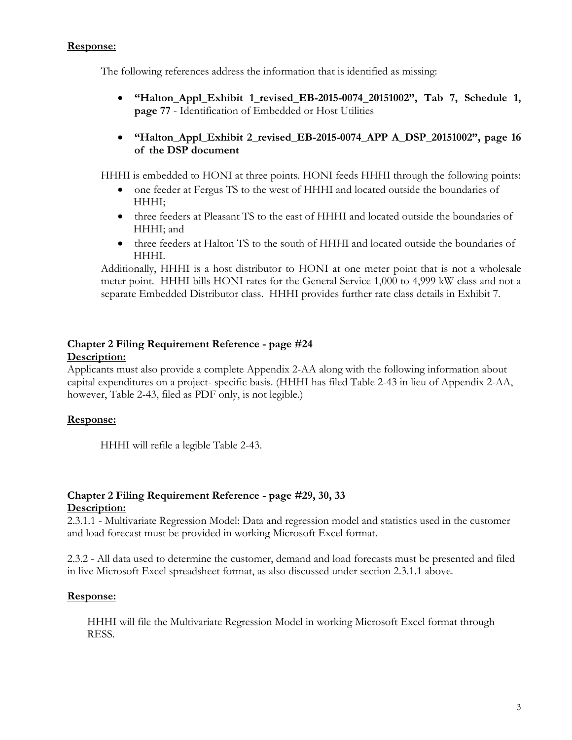## **Response:**

The following references address the information that is identified as missing:

- **"Halton\_Appl\_Exhibit 1\_revised\_EB-2015-0074\_20151002", Tab 7, Schedule 1, page 77** - Identification of Embedded or Host Utilities
- **"Halton\_Appl\_Exhibit 2\_revised\_EB-2015-0074\_APP A\_DSP\_20151002", page 16 of the DSP document**

HHHI is embedded to HONI at three points. HONI feeds HHHI through the following points:

- one feeder at Fergus TS to the west of HHHI and located outside the boundaries of HHHI;
- three feeders at Pleasant TS to the east of HHHI and located outside the boundaries of HHHI; and
- three feeders at Halton TS to the south of HHHI and located outside the boundaries of HHHI.

Additionally, HHHI is a host distributor to HONI at one meter point that is not a wholesale meter point. HHHI bills HONI rates for the General Service 1,000 to 4,999 kW class and not a separate Embedded Distributor class. HHHI provides further rate class details in Exhibit 7.

# **Chapter 2 Filing Requirement Reference - page #24 Description:**

Applicants must also provide a complete Appendix 2-AA along with the following information about capital expenditures on a project- specific basis. (HHHI has filed Table 2-43 in lieu of Appendix 2-AA, however, Table 2-43, filed as PDF only, is not legible.)

# **Response:**

HHHI will refile a legible Table 2-43.

## **Chapter 2 Filing Requirement Reference - page #29, 30, 33 Description:**

2.3.1.1 - Multivariate Regression Model: Data and regression model and statistics used in the customer and load forecast must be provided in working Microsoft Excel format.

2.3.2 - All data used to determine the customer, demand and load forecasts must be presented and filed in live Microsoft Excel spreadsheet format, as also discussed under section 2.3.1.1 above.

# **Response:**

HHHI will file the Multivariate Regression Model in working Microsoft Excel format through RESS.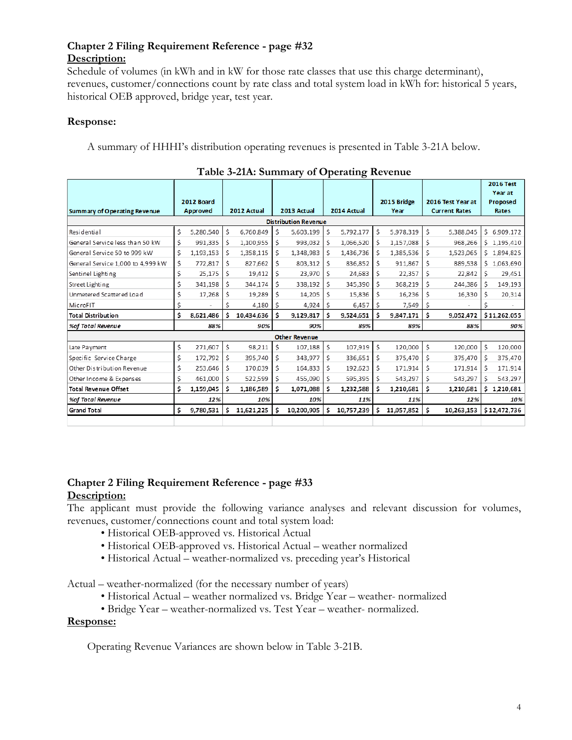# **Chapter 2 Filing Requirement Reference - page #32 Description:**

Schedule of volumes (in kWh and in kW for those rate classes that use this charge determinant), revenues, customer/connections count by rate class and total system load in kWh for: historical 5 years, historical OEB approved, bridge year, test year.

## **Response:**

A summary of HHHI's distribution operating revenues is presented in Table 3-21A below.

|                                     |    |                 |     |             |    |             |    |               |     |             |    |                      |    | <b>2016 Test</b>    |
|-------------------------------------|----|-----------------|-----|-------------|----|-------------|----|---------------|-----|-------------|----|----------------------|----|---------------------|
|                                     |    | 2012 Board      |     |             |    |             |    |               |     | 2015 Bridge |    | 2016 Test Year at    |    | Year at<br>Proposed |
| <b>Summary of Operating Revenue</b> |    | <b>Approved</b> |     | 2012 Actual |    | 2013 Actual |    | 2014 Actual   |     | Year        |    | <b>Current Rates</b> |    | Rates               |
| <b>Distribution Revenue</b>         |    |                 |     |             |    |             |    |               |     |             |    |                      |    |                     |
| Residential                         | \$ | 5,280,540       | \$  | 6,760,849   | \$ | 5,603,199   |    | 5,792,177     | Ś.  | 5,978,319   | Ś. | 5,388,045            |    | \$6,909,172         |
| General Service less than 50 kW     | \$ | 991,335         | S   | 1,100,955   | \$ | 993,032     | S  | 1,066,520     | -S  | 1,157,088   | \$ | 968,266              |    | \$1,195,410         |
| General Service 50 to 999 kW        | \$ | 1,193,153       | Ś   | 1,358,115   | Ś  | 1,348,983   |    | 1,436,736     | S   | 1,385,536   | \$ | 1,523,065            | \$ | 1,894,825           |
| General Service 1,000 to 4,999 kW   | \$ | 772,817         | \$. | 827,662     | \$ | 803,312     | Š. | 836,852       | S.  | 911,867     | \$ | 889,538              | S. | 1,063,690           |
| Sentinel Lighting                   | \$ | 25,175          | Ś   | 19,412      | Ś  | 23,970      | Ś  | 24,683        | \$  | 22,357      | Ś  | 22,842               | \$ | 29,451              |
| Street Lighting                     | \$ | 341,198         | S   | 344,174     | \$ | 338,192     | Ś  | 345,390       | \$. | 368,219     | \$ | 244,386              | -S | 149,193             |
| Unmetered Scattered Load            | \$ | 17,268          | Ś   | 19,289      | Ś  | 14,205      | \$ | 15,836        | \$. | 16,236      | \$ | 16,330               | \$ | 20,314              |
| MicroFIT                            | \$ | i.              | Ś   | 4,180       | Ŝ. | 4,924       | Ŝ  | 6,457         | Ŝ.  | 7,549       | Ś. |                      | \$ | ÷.                  |
| <b>Total Distribution</b>           | \$ | 8,621,486       | Ś.  | 10,434,636  | Ś  | 9,129,817   | Ś  | 9,524,651     | Ŝ.  | 9,847,171   | \$ | 9,052,472            |    | \$11,262,055        |
| %of Total Revenue                   |    | 88%             |     | 90%         |    | 90%         |    | 89%           |     | 89%         |    | 88%                  |    | 90%                 |
| <b>Other Revenue</b>                |    |                 |     |             |    |             |    |               |     |             |    |                      |    |                     |
| Late Payment                        | \$ | 271,607         | Ś   | 98,211      | \$ | 107,188     | \$ | 107,919       | \$  | 120,000     | \$ | 120,000              | \$ | 120,000             |
| Specific Service Charge             | \$ | 172,792         | Ś.  | 395,740     | S  | 343,977     | Ś  | 336,651       | S.  | 375,470     | \$ | 375,470              | -S | 375,470             |
| Other Distribution Revenue          | \$ | 253,646         | Ś   | 170,039     | \$ | 164,833     | S  | 192,623       | Š.  | 171,914     | \$ | 171,914              | -S | 171,914             |
| Other Income & Expenses             | \$ | 461,000         | \$  | 522,599     | Ś. | 455,090     | Ś  | 595,395       | Ŝ.  | 543,297     | \$ | 543,297              | \$ | 543,297             |
| <b>Total Revenue Offset</b>         | \$ | 1,159,045       | S   | 1,186,589   | Ś  | 1,071,088   |    | 1,232,588     | s   | 1,210,681   | \$ | 1,210,681            | Ś. | 1,210,681           |
| %of Total Revenue                   |    | 12%             |     | 10%         |    | 10%         |    | 11%           |     | 11%         |    | 12%                  |    | 10%                 |
| <b>Grand Total</b>                  | \$ | 9.780.531       | Ś   | 11,621,225  | Ś  | 10.200.905  | ۱s | 10,757,239 \$ |     | 11,057,852  | Ŝ. | 10,263,153           |    | \$12,472,736        |
|                                     |    |                 |     |             |    |             |    |               |     |             |    |                      |    |                     |

| Table 3-21A: Summary of Operating Revenue |  |  |
|-------------------------------------------|--|--|
|-------------------------------------------|--|--|

## **Chapter 2 Filing Requirement Reference - page #33 Description:**

The applicant must provide the following variance analyses and relevant discussion for volumes, revenues, customer/connections count and total system load:

- Historical OEB-approved vs. Historical Actual
- Historical OEB-approved vs. Historical Actual weather normalized
- Historical Actual weather-normalized vs. preceding year's Historical

Actual – weather-normalized (for the necessary number of years)

- Historical Actual weather normalized vs. Bridge Year weather- normalized
- Bridge Year weather-normalized vs. Test Year weather- normalized.

#### **Response:**

Operating Revenue Variances are shown below in Table 3-21B.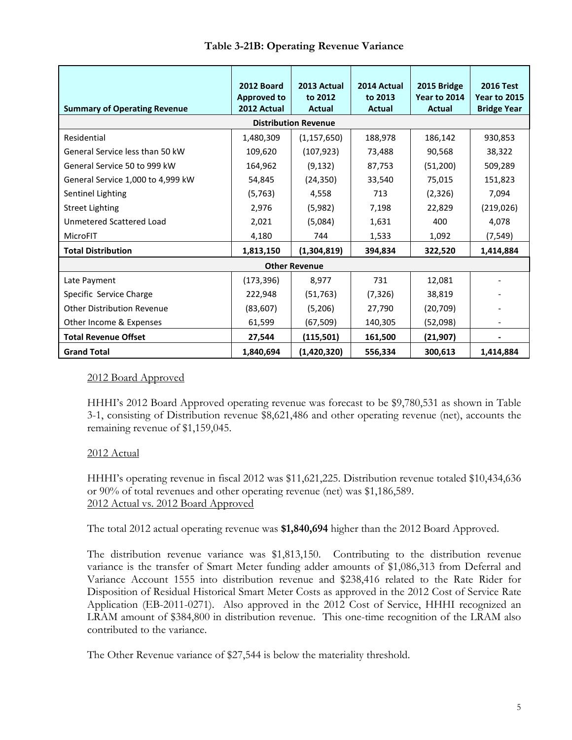|                                                                                  | 2012 Board<br><b>Approved to</b> | 2013 Actual<br>to 2012 | 2014 Actual<br>to 2013 | 2015 Bridge<br>Year to 2014 | <b>2016 Test</b><br><b>Year to 2015</b><br><b>Bridge Year</b> |  |  |  |  |
|----------------------------------------------------------------------------------|----------------------------------|------------------------|------------------------|-----------------------------|---------------------------------------------------------------|--|--|--|--|
| <b>Summary of Operating Revenue</b><br>2012 Actual<br>Actual<br>Actual<br>Actual |                                  |                        |                        |                             |                                                               |  |  |  |  |
| <b>Distribution Revenue</b>                                                      |                                  |                        |                        |                             |                                                               |  |  |  |  |
| Residential                                                                      | 1,480,309                        | (1, 157, 650)          | 188,978                | 186,142                     | 930,853                                                       |  |  |  |  |
| General Service less than 50 kW                                                  | 109,620                          | (107, 923)             | 73,488                 | 90,568                      | 38,322                                                        |  |  |  |  |
| General Service 50 to 999 kW                                                     | 164,962                          | (9, 132)               | 87,753                 | (51, 200)                   | 509,289                                                       |  |  |  |  |
| General Service 1,000 to 4,999 kW                                                | 54,845                           | (24, 350)              | 33,540                 | 75,015                      | 151,823                                                       |  |  |  |  |
| Sentinel Lighting                                                                | (5, 763)                         | 4,558                  | 713                    | (2, 326)                    | 7,094                                                         |  |  |  |  |
| <b>Street Lighting</b>                                                           | 2,976                            | (5,982)                | 7,198                  | 22,829                      | (219, 026)                                                    |  |  |  |  |
| Unmetered Scattered Load                                                         | 2,021                            | (5,084)                | 1,631                  | 400                         | 4,078                                                         |  |  |  |  |
| MicroFIT                                                                         | 4,180                            | 744                    | 1,533                  | 1,092                       | (7, 549)                                                      |  |  |  |  |
| <b>Total Distribution</b>                                                        | 1,813,150                        | (1,304,819)            | 394,834                | 322,520                     | 1,414,884                                                     |  |  |  |  |
| <b>Other Revenue</b>                                                             |                                  |                        |                        |                             |                                                               |  |  |  |  |
| Late Payment                                                                     | (173, 396)                       | 8,977                  | 731                    | 12,081                      |                                                               |  |  |  |  |
| Specific Service Charge                                                          | 222,948                          | (51, 763)              | (7, 326)               | 38,819                      |                                                               |  |  |  |  |
| <b>Other Distribution Revenue</b>                                                | (83,607)                         | (5,206)                | 27,790                 | (20, 709)                   |                                                               |  |  |  |  |
| Other Income & Expenses                                                          | 61,599                           | (67, 509)              | 140,305                | (52,098)                    |                                                               |  |  |  |  |
| <b>Total Revenue Offset</b>                                                      | 27,544                           | (115, 501)             | 161,500                | (21, 907)                   |                                                               |  |  |  |  |
| <b>Grand Total</b>                                                               | 1,840,694                        | (1,420,320)            | 556,334                | 300,613                     | 1,414,884                                                     |  |  |  |  |

# 2012 Board Approved

HHHI's 2012 Board Approved operating revenue was forecast to be \$9,780,531 as shown in Table 3-1, consisting of Distribution revenue \$8,621,486 and other operating revenue (net), accounts the remaining revenue of \$1,159,045.

# 2012 Actual

HHHI's operating revenue in fiscal 2012 was \$11,621,225. Distribution revenue totaled \$10,434,636 or 90% of total revenues and other operating revenue (net) was \$1,186,589. 2012 Actual vs. 2012 Board Approved

The total 2012 actual operating revenue was **\$1,840,694** higher than the 2012 Board Approved.

The distribution revenue variance was \$1,813,150. Contributing to the distribution revenue variance is the transfer of Smart Meter funding adder amounts of \$1,086,313 from Deferral and Variance Account 1555 into distribution revenue and \$238,416 related to the Rate Rider for Disposition of Residual Historical Smart Meter Costs as approved in the 2012 Cost of Service Rate Application (EB-2011-0271). Also approved in the 2012 Cost of Service, HHHI recognized an LRAM amount of \$384,800 in distribution revenue. This one-time recognition of the LRAM also contributed to the variance.

The Other Revenue variance of \$27,544 is below the materiality threshold.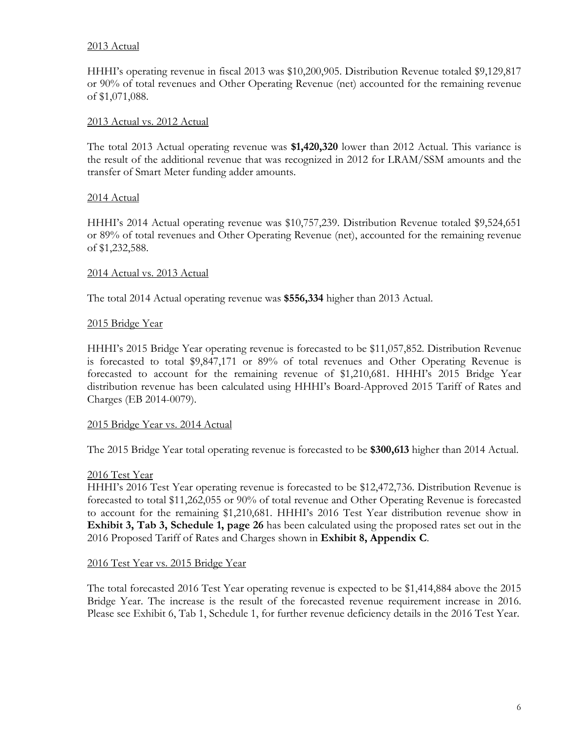## 2013 Actual

HHHI's operating revenue in fiscal 2013 was \$10,200,905. Distribution Revenue totaled \$9,129,817 or 90% of total revenues and Other Operating Revenue (net) accounted for the remaining revenue of \$1,071,088.

#### 2013 Actual vs. 2012 Actual

The total 2013 Actual operating revenue was **\$1,420,320** lower than 2012 Actual. This variance is the result of the additional revenue that was recognized in 2012 for LRAM/SSM amounts and the transfer of Smart Meter funding adder amounts.

#### 2014 Actual

HHHI's 2014 Actual operating revenue was \$10,757,239. Distribution Revenue totaled \$9,524,651 or 89% of total revenues and Other Operating Revenue (net), accounted for the remaining revenue of \$1,232,588.

#### 2014 Actual vs. 2013 Actual

The total 2014 Actual operating revenue was **\$556,334** higher than 2013 Actual.

#### 2015 Bridge Year

HHHI's 2015 Bridge Year operating revenue is forecasted to be \$11,057,852. Distribution Revenue is forecasted to total \$9,847,171 or 89% of total revenues and Other Operating Revenue is forecasted to account for the remaining revenue of \$1,210,681. HHHI's 2015 Bridge Year distribution revenue has been calculated using HHHI's Board-Approved 2015 Tariff of Rates and Charges (EB 2014-0079).

#### 2015 Bridge Year vs. 2014 Actual

The 2015 Bridge Year total operating revenue is forecasted to be **\$300,613** higher than 2014 Actual.

#### 2016 Test Year

HHHI's 2016 Test Year operating revenue is forecasted to be \$12,472,736. Distribution Revenue is forecasted to total \$11,262,055 or 90% of total revenue and Other Operating Revenue is forecasted to account for the remaining \$1,210,681. HHHI's 2016 Test Year distribution revenue show in **Exhibit 3, Tab 3, Schedule 1, page 26** has been calculated using the proposed rates set out in the 2016 Proposed Tariff of Rates and Charges shown in **Exhibit 8, Appendix C**.

#### 2016 Test Year vs. 2015 Bridge Year

The total forecasted 2016 Test Year operating revenue is expected to be \$1,414,884 above the 2015 Bridge Year. The increase is the result of the forecasted revenue requirement increase in 2016. Please see Exhibit 6, Tab 1, Schedule 1, for further revenue deficiency details in the 2016 Test Year.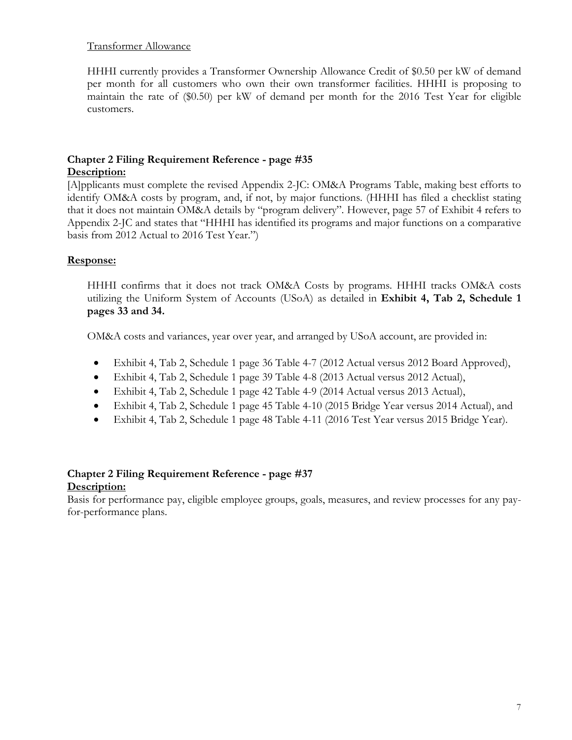## Transformer Allowance

HHHI currently provides a Transformer Ownership Allowance Credit of \$0.50 per kW of demand per month for all customers who own their own transformer facilities. HHHI is proposing to maintain the rate of (\$0.50) per kW of demand per month for the 2016 Test Year for eligible customers.

# **Chapter 2 Filing Requirement Reference - page #35**

## **Description:**

[A]pplicants must complete the revised Appendix 2-JC: OM&A Programs Table, making best efforts to identify OM&A costs by program, and, if not, by major functions. (HHHI has filed a checklist stating that it does not maintain OM&A details by "program delivery". However, page 57 of Exhibit 4 refers to Appendix 2-JC and states that "HHHI has identified its programs and major functions on a comparative basis from 2012 Actual to 2016 Test Year.")

# **Response:**

HHHI confirms that it does not track OM&A Costs by programs. HHHI tracks OM&A costs utilizing the Uniform System of Accounts (USoA) as detailed in **Exhibit 4, Tab 2, Schedule 1 pages 33 and 34.**

OM&A costs and variances, year over year, and arranged by USoA account, are provided in:

- Exhibit 4, Tab 2, Schedule 1 page 36 Table 4-7 (2012 Actual versus 2012 Board Approved),
- Exhibit 4, Tab 2, Schedule 1 page 39 Table 4-8 (2013 Actual versus 2012 Actual),
- Exhibit 4, Tab 2, Schedule 1 page 42 Table 4-9 (2014 Actual versus 2013 Actual),
- Exhibit 4, Tab 2, Schedule 1 page 45 Table 4-10 (2015 Bridge Year versus 2014 Actual), and
- Exhibit 4, Tab 2, Schedule 1 page 48 Table 4-11 (2016 Test Year versus 2015 Bridge Year).

# **Chapter 2 Filing Requirement Reference - page #37**

## **Description:**

Basis for performance pay, eligible employee groups, goals, measures, and review processes for any payfor-performance plans.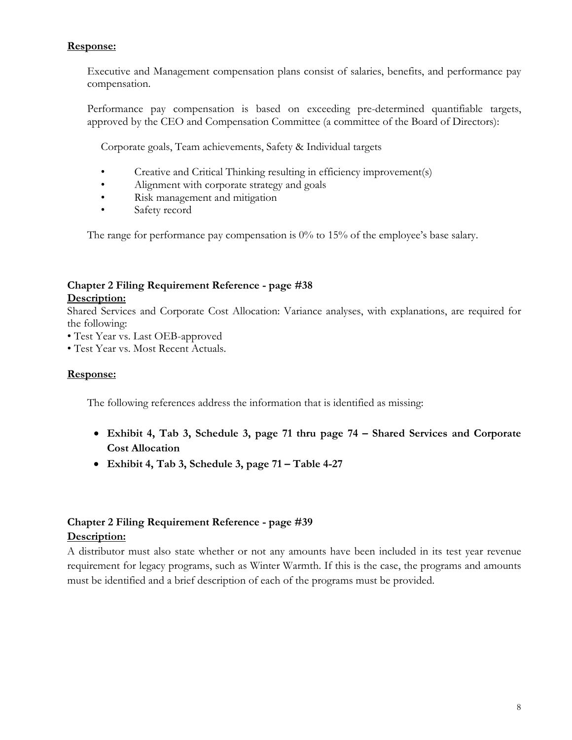# **Response:**

Executive and Management compensation plans consist of salaries, benefits, and performance pay compensation.

Performance pay compensation is based on exceeding pre-determined quantifiable targets, approved by the CEO and Compensation Committee (a committee of the Board of Directors):

Corporate goals, Team achievements, Safety & Individual targets

- Creative and Critical Thinking resulting in efficiency improvement(s)
- Alignment with corporate strategy and goals
- Risk management and mitigation
- Safety record

The range for performance pay compensation is  $0\%$  to 15% of the employee's base salary.

# **Chapter 2 Filing Requirement Reference - page #38**

## **Description:**

Shared Services and Corporate Cost Allocation: Variance analyses, with explanations, are required for the following:

• Test Year vs. Last OEB-approved

• Test Year vs. Most Recent Actuals.

## **Response:**

The following references address the information that is identified as missing:

- **Exhibit 4, Tab 3, Schedule 3, page 71 thru page 74 – Shared Services and Corporate Cost Allocation**
- **Exhibit 4, Tab 3, Schedule 3, page 71 – Table 4-27**

# **Chapter 2 Filing Requirement Reference - page #39 Description:**

# A distributor must also state whether or not any amounts have been included in its test year revenue requirement for legacy programs, such as Winter Warmth. If this is the case, the programs and amounts must be identified and a brief description of each of the programs must be provided.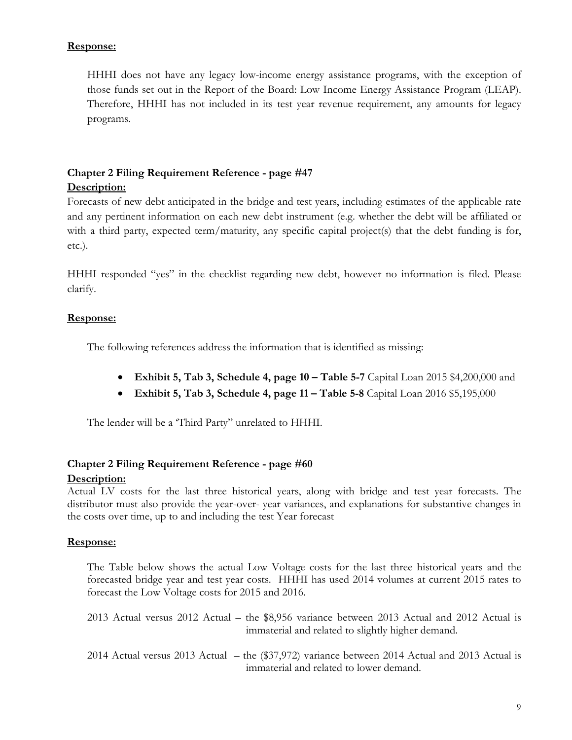# **Response:**

HHHI does not have any legacy low-income energy assistance programs, with the exception of those funds set out in the Report of the Board: Low Income Energy Assistance Program (LEAP). Therefore, HHHI has not included in its test year revenue requirement, any amounts for legacy programs.

# **Chapter 2 Filing Requirement Reference - page #47 Description:**

Forecasts of new debt anticipated in the bridge and test years, including estimates of the applicable rate and any pertinent information on each new debt instrument (e.g. whether the debt will be affiliated or with a third party, expected term/maturity, any specific capital project(s) that the debt funding is for, etc.).

HHHI responded "yes" in the checklist regarding new debt, however no information is filed. Please clarify.

## **Response:**

The following references address the information that is identified as missing:

- **Exhibit 5, Tab 3, Schedule 4, page 10 – Table 5-7** Capital Loan 2015 \$4,200,000 and
- **Exhibit 5, Tab 3, Schedule 4, page 11 – Table 5-8** Capital Loan 2016 \$5,195,000

The lender will be a 'Third Party" unrelated to HHHI.

## **Chapter 2 Filing Requirement Reference - page #60**

## **Description:**

Actual LV costs for the last three historical years, along with bridge and test year forecasts. The distributor must also provide the year-over- year variances, and explanations for substantive changes in the costs over time, up to and including the test Year forecast

## **Response:**

The Table below shows the actual Low Voltage costs for the last three historical years and the forecasted bridge year and test year costs. HHHI has used 2014 volumes at current 2015 rates to forecast the Low Voltage costs for 2015 and 2016.

2013 Actual versus 2012 Actual – the \$8,956 variance between 2013 Actual and 2012 Actual is immaterial and related to slightly higher demand.

2014 Actual versus 2013 Actual – the (\$37,972) variance between 2014 Actual and 2013 Actual is immaterial and related to lower demand.